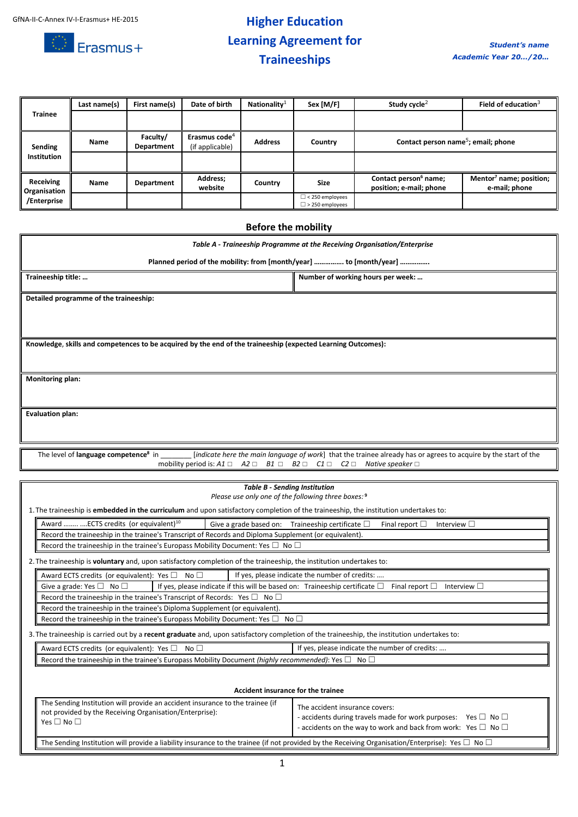

## **Higher Education Learning Agreement for Traineeships**

| <b>Trainee</b>                                  | Last name(s) | First name(s)          | Date of birth                                | Nationality <sup>1</sup> | Sex [M/F]                                        | Study cycle <sup>2</sup>                                     | Field of education $3$                               |
|-------------------------------------------------|--------------|------------------------|----------------------------------------------|--------------------------|--------------------------------------------------|--------------------------------------------------------------|------------------------------------------------------|
|                                                 |              |                        |                                              |                          |                                                  |                                                              |                                                      |
| Sending<br>Institution                          | Name         | Faculty/<br>Department | Erasmus code <sup>4</sup><br>(if applicable) | <b>Address</b>           | Country                                          | Contact person name <sup>5</sup> ; email; phone              |                                                      |
|                                                 |              |                        |                                              |                          |                                                  |                                                              |                                                      |
| Receiving<br><b>Organisation</b><br>/Enterprise | Name         | Department             | Address;<br>website                          | Country                  | Size                                             | Contact person <sup>6</sup> name;<br>position; e-mail; phone | Mentor <sup>7</sup> name; position;<br>e-mail; phone |
|                                                 |              |                        |                                              |                          | $\Box$ < 250 employees<br>$\Box$ > 250 employees |                                                              |                                                      |

### **Before the mobility**

| Table A - Traineeship Programme at the Receiving Organisation/Enterprise                                                                                     |                                                                                                                                             |  |  |  |
|--------------------------------------------------------------------------------------------------------------------------------------------------------------|---------------------------------------------------------------------------------------------------------------------------------------------|--|--|--|
| Planned period of the mobility: from [month/year]  to [month/year]                                                                                           |                                                                                                                                             |  |  |  |
| Traineeship title:                                                                                                                                           | Number of working hours per week:                                                                                                           |  |  |  |
| Detailed programme of the traineeship:                                                                                                                       |                                                                                                                                             |  |  |  |
|                                                                                                                                                              |                                                                                                                                             |  |  |  |
|                                                                                                                                                              |                                                                                                                                             |  |  |  |
| Knowledge, skills and competences to be acquired by the end of the traineeship (expected Learning Outcomes):                                                 |                                                                                                                                             |  |  |  |
|                                                                                                                                                              |                                                                                                                                             |  |  |  |
| Monitoring plan:                                                                                                                                             |                                                                                                                                             |  |  |  |
|                                                                                                                                                              |                                                                                                                                             |  |  |  |
| <b>Evaluation plan:</b>                                                                                                                                      |                                                                                                                                             |  |  |  |
|                                                                                                                                                              |                                                                                                                                             |  |  |  |
| The level of <b>language competence</b> <sup>8</sup> in<br>mobility period is: $A1 \square$ $A2 \square$ $B1 \square$ $B2 \square$ $C1 \square$ $C2 \square$ | [indicate here the main language of work] that the trainee already has or agrees to acquire by the start of the<br>Native speaker $\square$ |  |  |  |
|                                                                                                                                                              |                                                                                                                                             |  |  |  |

| <b>Table B - Sending Institution</b>                                                                                                        |                                                                                                                                                                                  |                                                     |                                                                                                                                                                                            |  |  |
|---------------------------------------------------------------------------------------------------------------------------------------------|----------------------------------------------------------------------------------------------------------------------------------------------------------------------------------|-----------------------------------------------------|--------------------------------------------------------------------------------------------------------------------------------------------------------------------------------------------|--|--|
|                                                                                                                                             |                                                                                                                                                                                  | Please use only one of the following three boxes: 9 |                                                                                                                                                                                            |  |  |
|                                                                                                                                             | 1. The traineeship is <b>embedded in the curriculum</b> and upon satisfactory completion of the traineeship, the institution undertakes to:                                      |                                                     |                                                                                                                                                                                            |  |  |
| Award   ECTS credits (or equivalent) <sup>10</sup><br>Give a grade based on: Traineeship certificate $\square$<br>Final report $\square$    |                                                                                                                                                                                  |                                                     | Interview $\square$                                                                                                                                                                        |  |  |
|                                                                                                                                             | Record the traineeship in the trainee's Transcript of Records and Diploma Supplement (or equivalent).                                                                            |                                                     |                                                                                                                                                                                            |  |  |
|                                                                                                                                             | Record the traineeship in the trainee's Europass Mobility Document: Yes $\square$ No $\square$                                                                                   |                                                     |                                                                                                                                                                                            |  |  |
|                                                                                                                                             | 2. The traineeship is voluntary and, upon satisfactory completion of the traineeship, the institution undertakes to:                                                             |                                                     |                                                                                                                                                                                            |  |  |
|                                                                                                                                             | If yes, please indicate the number of credits:<br>Award ECTS credits (or equivalent): Yes $\square$ No $\square$                                                                 |                                                     |                                                                                                                                                                                            |  |  |
|                                                                                                                                             | Give a grade: Yes $\square$ No $\square$<br>If yes, please indicate if this will be based on: Traineeship certificate $\square$<br>Final report $\square$<br>Interview $\square$ |                                                     |                                                                                                                                                                                            |  |  |
|                                                                                                                                             | Record the traineeship in the trainee's Transcript of Records: Yes $\square$ No $\square$                                                                                        |                                                     |                                                                                                                                                                                            |  |  |
|                                                                                                                                             | Record the traineeship in the trainee's Diploma Supplement (or equivalent).                                                                                                      |                                                     |                                                                                                                                                                                            |  |  |
|                                                                                                                                             | Record the traineeship in the trainee's Europass Mobility Document: Yes $\square$ No $\square$                                                                                   |                                                     |                                                                                                                                                                                            |  |  |
| 3. The traineeship is carried out by a recent graduate and, upon satisfactory completion of the traineeship, the institution undertakes to: |                                                                                                                                                                                  |                                                     |                                                                                                                                                                                            |  |  |
|                                                                                                                                             | If yes, please indicate the number of credits:<br>Award ECTS credits (or equivalent): Yes $\square$ No $\square$                                                                 |                                                     |                                                                                                                                                                                            |  |  |
|                                                                                                                                             | Record the traineeship in the trainee's Europass Mobility Document (highly recommended): Yes $\square$ No $\square$                                                              |                                                     |                                                                                                                                                                                            |  |  |
| Accident insurance for the trainee                                                                                                          |                                                                                                                                                                                  |                                                     |                                                                                                                                                                                            |  |  |
|                                                                                                                                             | The Sending Institution will provide an accident insurance to the trainee (if<br>not provided by the Receiving Organisation/Enterprise):<br>Yes $\Box$ No $\Box$                 |                                                     | The accident insurance covers:<br>- accidents during travels made for work purposes: Yes $\Box$ No $\Box$<br>- accidents on the way to work and back from work: Yes $\square$ No $\square$ |  |  |

The Sending Institution will provide a liability insurance to the trainee (if not provided by the Receiving Organisation/Enterprise): Yes  $\Box$  No  $\Box$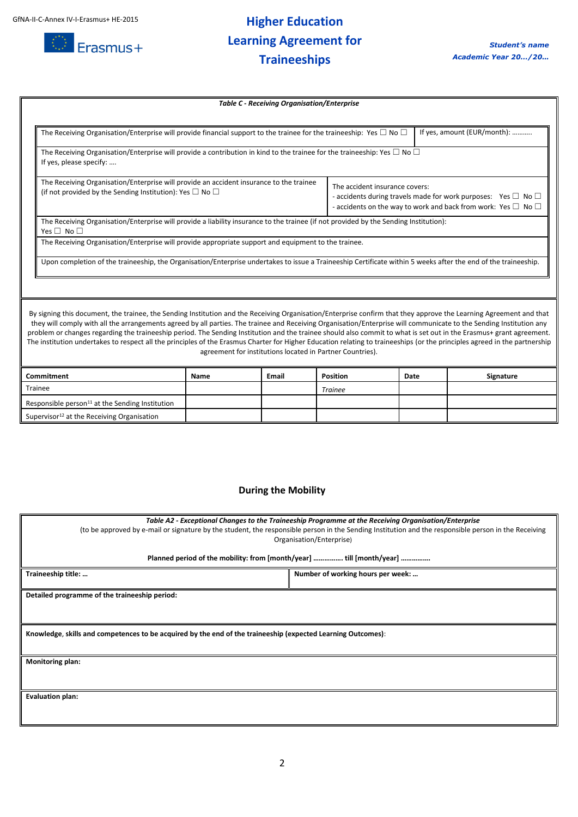

# **Higher Education Learning Agreement for Traineeships**

| <b>Table C - Receiving Organisation/Enterprise</b>                                                                                                                                                                                                                                                                                                                                                                                                                                                                                                                                                                                                                                                                                                          |                                                                                                                                       |       |                 |      |           |
|-------------------------------------------------------------------------------------------------------------------------------------------------------------------------------------------------------------------------------------------------------------------------------------------------------------------------------------------------------------------------------------------------------------------------------------------------------------------------------------------------------------------------------------------------------------------------------------------------------------------------------------------------------------------------------------------------------------------------------------------------------------|---------------------------------------------------------------------------------------------------------------------------------------|-------|-----------------|------|-----------|
|                                                                                                                                                                                                                                                                                                                                                                                                                                                                                                                                                                                                                                                                                                                                                             |                                                                                                                                       |       |                 |      |           |
| If yes, amount (EUR/month):<br>The Receiving Organisation/Enterprise will provide financial support to the trainee for the traineeship: Yes $\Box$ No $\Box$                                                                                                                                                                                                                                                                                                                                                                                                                                                                                                                                                                                                |                                                                                                                                       |       |                 |      |           |
| The Receiving Organisation/Enterprise will provide a contribution in kind to the trainee for the traineeship: Yes $\Box$ No $\Box$<br>If yes, please specify:                                                                                                                                                                                                                                                                                                                                                                                                                                                                                                                                                                                               |                                                                                                                                       |       |                 |      |           |
| The Receiving Organisation/Enterprise will provide an accident insurance to the trainee<br>The accident insurance covers:<br>(if not provided by the Sending Institution): Yes $\Box$ No $\Box$<br>- accidents during travels made for work purposes: Yes $\square$ No $\square$<br>- accidents on the way to work and back from work: Yes $\square$ No $\square$                                                                                                                                                                                                                                                                                                                                                                                           |                                                                                                                                       |       |                 |      |           |
| Yes $\Box$ No $\Box$                                                                                                                                                                                                                                                                                                                                                                                                                                                                                                                                                                                                                                                                                                                                        | The Receiving Organisation/Enterprise will provide a liability insurance to the trainee (if not provided by the Sending Institution): |       |                 |      |           |
|                                                                                                                                                                                                                                                                                                                                                                                                                                                                                                                                                                                                                                                                                                                                                             | The Receiving Organisation/Enterprise will provide appropriate support and equipment to the trainee.                                  |       |                 |      |           |
| Upon completion of the traineeship, the Organisation/Enterprise undertakes to issue a Traineeship Certificate within 5 weeks after the end of the traineeship.                                                                                                                                                                                                                                                                                                                                                                                                                                                                                                                                                                                              |                                                                                                                                       |       |                 |      |           |
|                                                                                                                                                                                                                                                                                                                                                                                                                                                                                                                                                                                                                                                                                                                                                             |                                                                                                                                       |       |                 |      |           |
| By signing this document, the trainee, the Sending Institution and the Receiving Organisation/Enterprise confirm that they approve the Learning Agreement and that<br>they will comply with all the arrangements agreed by all parties. The trainee and Receiving Organisation/Enterprise will communicate to the Sending Institution any<br>problem or changes regarding the traineeship period. The Sending Institution and the trainee should also commit to what is set out in the Erasmus+ grant agreement.<br>The institution undertakes to respect all the principles of the Erasmus Charter for Higher Education relating to traineeships (or the principles agreed in the partnership<br>agreement for institutions located in Partner Countries). |                                                                                                                                       |       |                 |      |           |
| Commitment                                                                                                                                                                                                                                                                                                                                                                                                                                                                                                                                                                                                                                                                                                                                                  | Name                                                                                                                                  | Email | <b>Position</b> | Date | Signature |
| <b>Trainee</b>                                                                                                                                                                                                                                                                                                                                                                                                                                                                                                                                                                                                                                                                                                                                              |                                                                                                                                       |       | <b>Trainee</b>  |      |           |
| Responsible person <sup>11</sup> at the Sending Institution                                                                                                                                                                                                                                                                                                                                                                                                                                                                                                                                                                                                                                                                                                 |                                                                                                                                       |       |                 |      |           |
| Supervisor <sup>12</sup> at the Receiving Organisation                                                                                                                                                                                                                                                                                                                                                                                                                                                                                                                                                                                                                                                                                                      |                                                                                                                                       |       |                 |      |           |
|                                                                                                                                                                                                                                                                                                                                                                                                                                                                                                                                                                                                                                                                                                                                                             |                                                                                                                                       |       |                 |      |           |

### **During the Mobility**

| Table A2 - Exceptional Changes to the Traineeship Programme at the Receiving Organisation/Enterprise                                                 |                                   |  |  |  |
|------------------------------------------------------------------------------------------------------------------------------------------------------|-----------------------------------|--|--|--|
| (to be approved by e-mail or signature by the student, the responsible person in the Sending Institution and the responsible person in the Receiving |                                   |  |  |  |
| Organisation/Enterprise)                                                                                                                             |                                   |  |  |  |
| Planned period of the mobility: from [month/year]  till [month/year]                                                                                 |                                   |  |  |  |
| Traineeship title:                                                                                                                                   | Number of working hours per week: |  |  |  |
| Detailed programme of the traineeship period:                                                                                                        |                                   |  |  |  |
|                                                                                                                                                      |                                   |  |  |  |
|                                                                                                                                                      |                                   |  |  |  |
| Knowledge, skills and competences to be acquired by the end of the traineeship (expected Learning Outcomes):                                         |                                   |  |  |  |
|                                                                                                                                                      |                                   |  |  |  |
| <b>Monitoring plan:</b>                                                                                                                              |                                   |  |  |  |
|                                                                                                                                                      |                                   |  |  |  |
|                                                                                                                                                      |                                   |  |  |  |
| <b>Evaluation plan:</b>                                                                                                                              |                                   |  |  |  |
|                                                                                                                                                      |                                   |  |  |  |
|                                                                                                                                                      |                                   |  |  |  |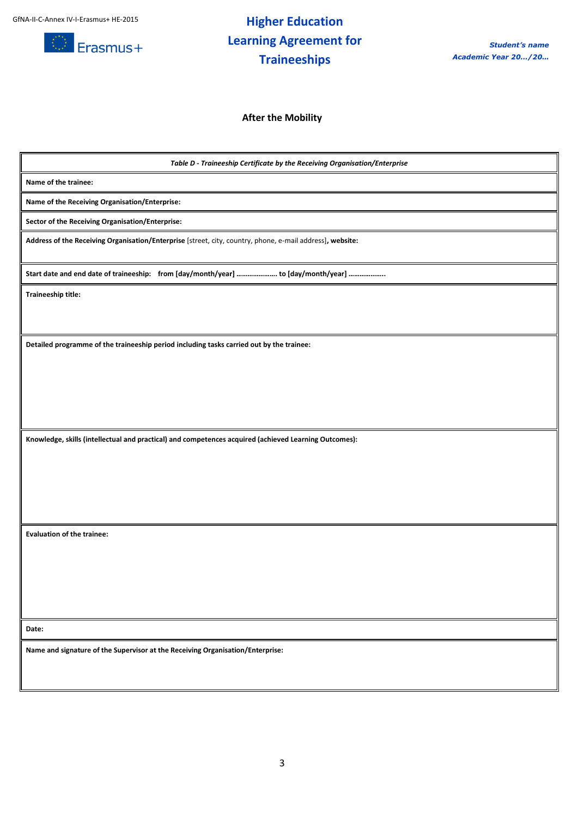

## **Higher Education Learning Agreement for Traineeships**

**After the Mobility**

*Table D - Traineeship Certificate by the Receiving Organisation/Enterprise* **Name of the trainee: Name of the Receiving Organisation/Enterprise: Sector of the Receiving Organisation/Enterprise: Address of the Receiving Organisation/Enterprise** [street, city, country, phone, e-mail address]**, website: Start date and end date of traineeship: from [day/month/year] …………………. to [day/month/year] ……………….. Traineeship title: Detailed programme of the traineeship period including tasks carried out by the trainee: Knowledge, skills (intellectual and practical) and competences acquired (achieved Learning Outcomes): Evaluation of the trainee: Date: Name and signature of the Supervisor at the Receiving Organisation/Enterprise:**